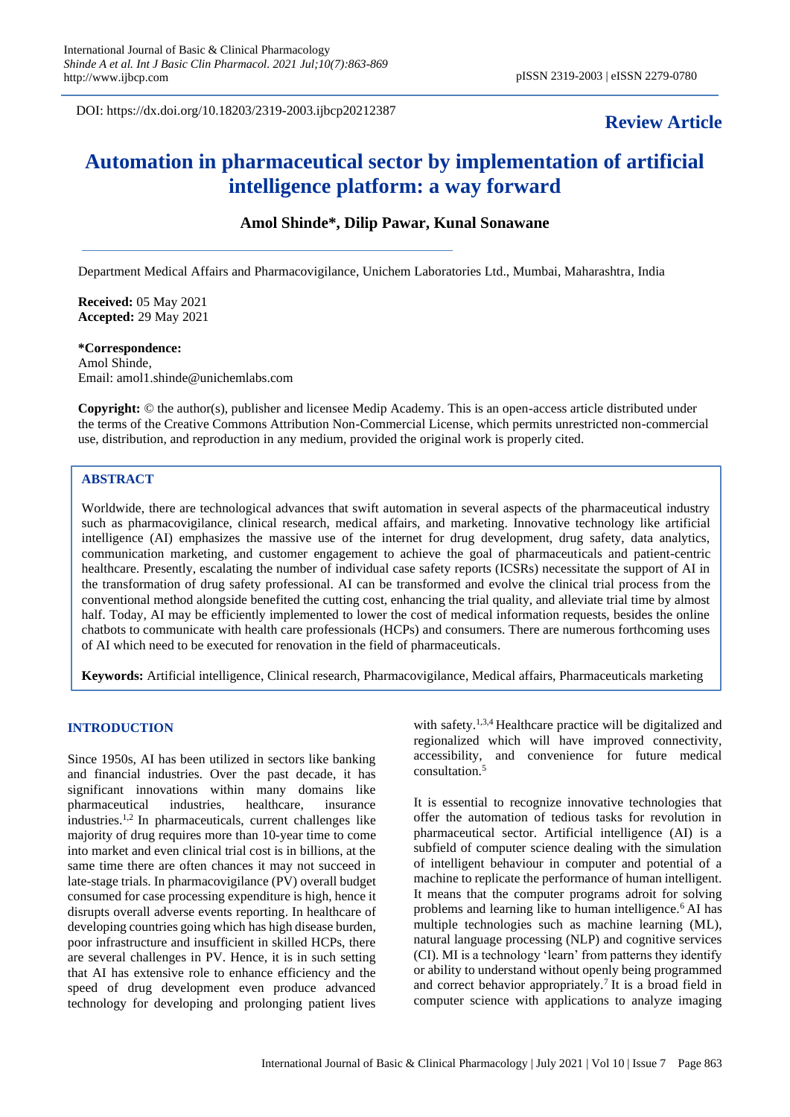DOI: https://dx.doi.org/10.18203/2319-2003.ijbcp20212387

## **Review Article**

# **Automation in pharmaceutical sector by implementation of artificial intelligence platform: a way forward**

## **Amol Shinde\*, Dilip Pawar, Kunal Sonawane**

Department Medical Affairs and Pharmacovigilance, Unichem Laboratories Ltd., Mumbai, Maharashtra, India

**Received:** 05 May 2021 **Accepted:** 29 May 2021

#### **\*Correspondence:**

Amol Shinde, Email: amol1.shinde@unichemlabs.com

**Copyright:** © the author(s), publisher and licensee Medip Academy. This is an open-access article distributed under the terms of the Creative Commons Attribution Non-Commercial License, which permits unrestricted non-commercial use, distribution, and reproduction in any medium, provided the original work is properly cited.

## **ABSTRACT**

Worldwide, there are technological advances that swift automation in several aspects of the pharmaceutical industry such as pharmacovigilance, clinical research, medical affairs, and marketing. Innovative technology like artificial intelligence (AI) emphasizes the massive use of the internet for drug development, drug safety, data analytics, communication marketing, and customer engagement to achieve the goal of pharmaceuticals and patient-centric healthcare. Presently, escalating the number of individual case safety reports (ICSRs) necessitate the support of AI in the transformation of drug safety professional. AI can be transformed and evolve the clinical trial process from the conventional method alongside benefited the cutting cost, enhancing the trial quality, and alleviate trial time by almost half. Today, AI may be efficiently implemented to lower the cost of medical information requests, besides the online chatbots to communicate with health care professionals (HCPs) and consumers. There are numerous forthcoming uses of AI which need to be executed for renovation in the field of pharmaceuticals.

**Keywords:** Artificial intelligence, Clinical research, Pharmacovigilance, Medical affairs, Pharmaceuticals marketing

#### **INTRODUCTION**

Since 1950s, AI has been utilized in sectors like banking and financial industries. Over the past decade, it has significant innovations within many domains like pharmaceutical industries, healthcare, insurance industries.1,2 In pharmaceuticals, current challenges like majority of drug requires more than 10-year time to come into market and even clinical trial cost is in billions, at the same time there are often chances it may not succeed in late-stage trials. In pharmacovigilance (PV) overall budget consumed for case processing expenditure is high, hence it disrupts overall adverse events reporting. In healthcare of developing countries going which has high disease burden, poor infrastructure and insufficient in skilled HCPs, there are several challenges in PV. Hence, it is in such setting that AI has extensive role to enhance efficiency and the speed of drug development even produce advanced technology for developing and prolonging patient lives

with safety.<sup>1,3,4</sup> Healthcare practice will be digitalized and regionalized which will have improved connectivity, accessibility, and convenience for future medical consultation.<sup>5</sup>

It is essential to recognize innovative technologies that offer the automation of tedious tasks for revolution in pharmaceutical sector. Artificial intelligence (AI) is a subfield of computer science dealing with the simulation of intelligent behaviour in computer and potential of a machine to replicate the performance of human intelligent. It means that the computer programs adroit for solving problems and learning like to human intelligence.<sup>6</sup> AI has multiple technologies such as machine learning (ML), natural language processing (NLP) and cognitive services (CI). MI is a technology 'learn' from patterns they identify or ability to understand without openly being programmed and correct behavior appropriately.<sup>7</sup>It is a broad field in computer science with applications to analyze imaging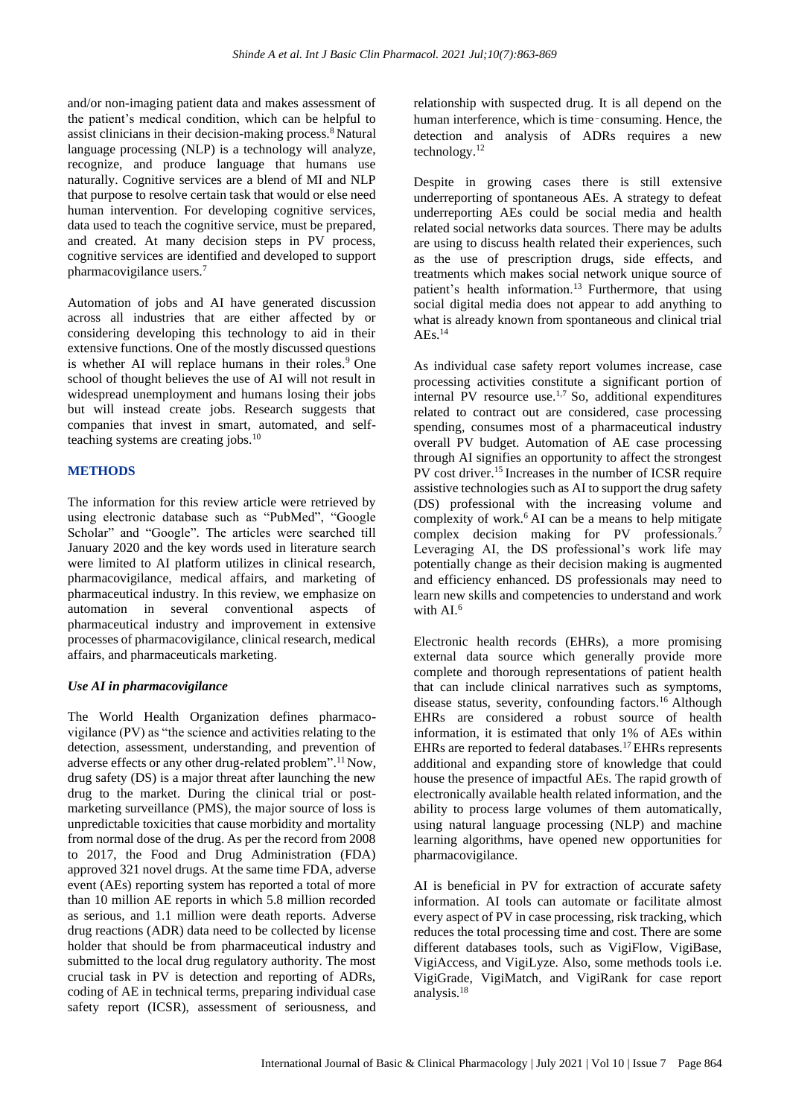and/or non-imaging patient data and makes assessment of the patient's medical condition, which can be helpful to assist clinicians in their decision-making process.<sup>8</sup> Natural language processing (NLP) is a technology will analyze, recognize, and produce language that humans use naturally. Cognitive services are a blend of MI and NLP that purpose to resolve certain task that would or else need human intervention. For developing cognitive services, data used to teach the cognitive service, must be prepared, and created. At many decision steps in PV process, cognitive services are identified and developed to support pharmacovigilance users.<sup>7</sup>

Automation of jobs and AI have generated discussion across all industries that are either affected by or considering developing this technology to aid in their extensive functions. One of the mostly discussed questions is whether AI will replace humans in their roles.<sup>9</sup> One school of thought believes the use of AI will not result in widespread unemployment and humans losing their jobs but will instead create jobs. Research suggests that companies that invest in smart, automated, and selfteaching systems are creating jobs.<sup>10</sup>

## **METHODS**

The information for this review article were retrieved by using electronic database such as "PubMed", "Google Scholar" and "Google". The articles were searched till January 2020 and the key words used in literature search were limited to AI platform utilizes in clinical research, pharmacovigilance, medical affairs, and marketing of pharmaceutical industry. In this review, we emphasize on automation in several conventional aspects of pharmaceutical industry and improvement in extensive processes of pharmacovigilance, clinical research, medical affairs, and pharmaceuticals marketing.

#### *Use AI in pharmacovigilance*

The World Health Organization defines pharmacovigilance (PV) as "the science and activities relating to the detection, assessment, understanding, and prevention of adverse effects or any other drug-related problem".<sup>11</sup> Now, drug safety (DS) is a major threat after launching the new drug to the market. During the clinical trial or postmarketing surveillance (PMS), the major source of loss is unpredictable toxicities that cause morbidity and mortality from normal dose of the drug. As per the record from 2008 to 2017, the Food and Drug Administration (FDA) approved 321 novel drugs. At the same time FDA, adverse event (AEs) reporting system has reported a total of more than 10 million AE reports in which 5.8 million recorded as serious, and 1.1 million were death reports. Adverse drug reactions (ADR) data need to be collected by license holder that should be from pharmaceutical industry and submitted to the local drug regulatory authority. The most crucial task in PV is detection and reporting of ADRs, coding of AE in technical terms, preparing individual case safety report (ICSR), assessment of seriousness, and relationship with suspected drug. It is all depend on the human interference, which is time–consuming. Hence, the detection and analysis of ADRs requires a new technology.<sup>12</sup>

Despite in growing cases there is still extensive underreporting of spontaneous AEs. A strategy to defeat underreporting AEs could be social media and health related social networks data sources. There may be adults are using to discuss health related their experiences, such as the use of prescription drugs, side effects, and treatments which makes social network unique source of patient's health information.<sup>13</sup> Furthermore, that using social digital media does not appear to add anything to what is already known from spontaneous and clinical trial  $AEs.$ <sup>14</sup>

As individual case safety report volumes increase, case processing activities constitute a significant portion of internal PV resource use.<sup>1,7</sup> So, additional expenditures related to contract out are considered, case processing spending, consumes most of a pharmaceutical industry overall PV budget. Automation of AE case processing through AI signifies an opportunity to affect the strongest PV cost driver.<sup>15</sup> Increases in the number of ICSR require assistive technologies such as AI to support the drug safety (DS) professional with the increasing volume and complexity of work.<sup>6</sup> AI can be a means to help mitigate complex decision making for PV professionals.<sup>7</sup> Leveraging AI, the DS professional's work life may potentially change as their decision making is augmented and efficiency enhanced. DS professionals may need to learn new skills and competencies to understand and work with AI.<sup>6</sup>

Electronic health records (EHRs), a more promising external data source which generally provide more complete and thorough representations of patient health that can include clinical narratives such as symptoms, disease status, severity, confounding factors.<sup>16</sup> Although EHRs are considered a robust source of health information, it is estimated that only 1% of AEs within EHRs are reported to federal databases.<sup>17</sup>EHRs represents additional and expanding store of knowledge that could house the presence of impactful AEs. The rapid growth of electronically available health related information, and the ability to process large volumes of them automatically, using natural language processing (NLP) and machine learning algorithms, have opened new opportunities for pharmacovigilance.

AI is beneficial in PV for extraction of accurate safety information. AI tools can automate or facilitate almost every aspect of PV in case processing, risk tracking, which reduces the total processing time and cost. There are some different databases tools, such as VigiFlow, VigiBase, VigiAccess, and VigiLyze. Also, some methods tools i.e. VigiGrade, VigiMatch, and VigiRank for case report analysis.18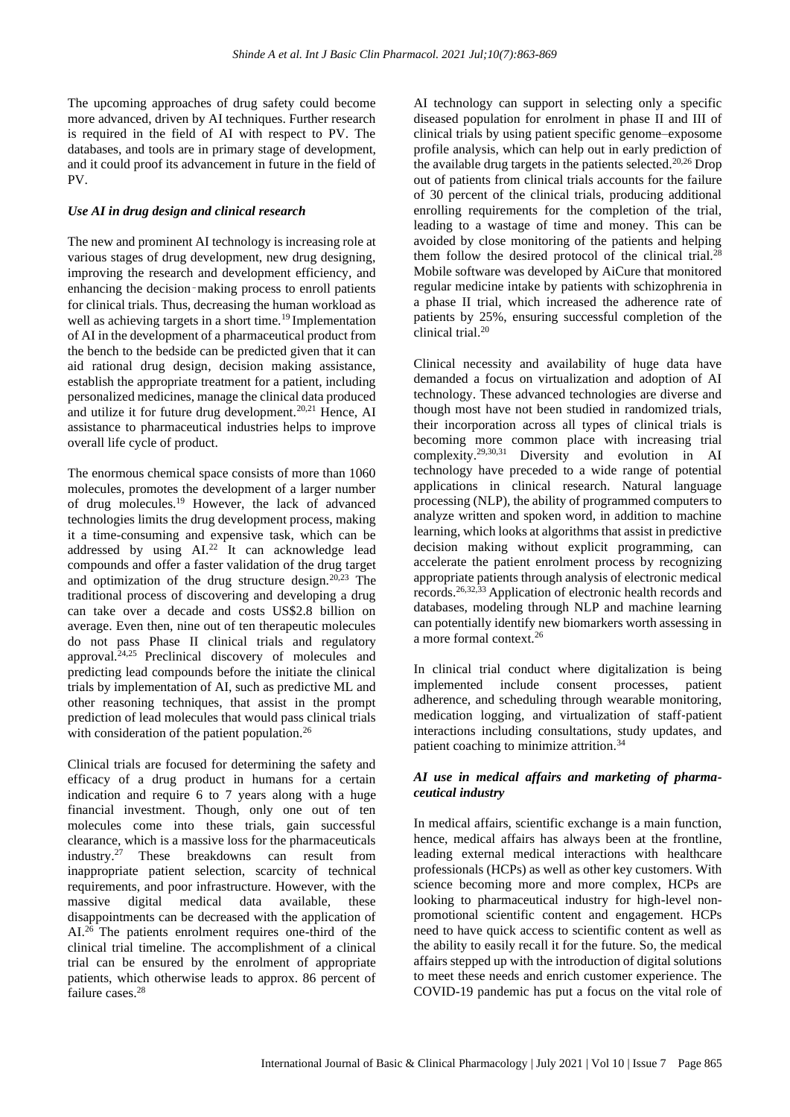The upcoming approaches of drug safety could become more advanced, driven by AI techniques. Further research is required in the field of AI with respect to PV. The databases, and tools are in primary stage of development, and it could proof its advancement in future in the field of PV.

#### *Use AI in drug design and clinical research*

The new and prominent AI technology is increasing role at various stages of drug development, new drug designing, improving the research and development efficiency, and enhancing the decision–making process to enroll patients for clinical trials. Thus, decreasing the human workload as well as achieving targets in a short time.<sup>19</sup> Implementation of AI in the development of a pharmaceutical product from the bench to the bedside can be predicted given that it can aid rational drug design, decision making assistance, establish the appropriate treatment for a patient, including personalized medicines, manage the clinical data produced and utilize it for future drug development.<sup>20,21</sup> Hence, AI assistance to pharmaceutical industries helps to improve overall life cycle of product.

The enormous chemical space consists of more than 1060 molecules, promotes the development of a larger number of drug molecules.<sup>19</sup> However, the lack of advanced technologies limits the drug development process, making it a time-consuming and expensive task, which can be addressed by using AI.<sup>22</sup> It can acknowledge lead compounds and offer a faster validation of the drug target and optimization of the drug structure design. $20,23$  The traditional process of discovering and developing a drug can take over a decade and costs US\$2.8 billion on average. Even then, nine out of ten therapeutic molecules do not pass Phase II clinical trials and regulatory approval.<sup>24,25</sup> Preclinical discovery of molecules and predicting lead compounds before the initiate the clinical trials by implementation of AI, such as predictive ML and other reasoning techniques, that assist in the prompt prediction of lead molecules that would pass clinical trials with consideration of the patient population.<sup>26</sup>

Clinical trials are focused for determining the safety and efficacy of a drug product in humans for a certain indication and require 6 to 7 years along with a huge financial investment. Though, only one out of ten molecules come into these trials, gain successful clearance, which is a massive loss for the pharmaceuticals industry.<sup>27</sup> These breakdowns can result from inappropriate patient selection, scarcity of technical requirements, and poor infrastructure. However, with the massive digital medical data available. these massive digital medical data available, these disappointments can be decreased with the application of  $AL<sup>26</sup>$  The patients enrolment requires one-third of the clinical trial timeline. The accomplishment of a clinical trial can be ensured by the enrolment of appropriate patients, which otherwise leads to approx. 86 percent of failure cases.<sup>28</sup>

AI technology can support in selecting only a specific diseased population for enrolment in phase II and III of clinical trials by using patient specific genome–exposome profile analysis, which can help out in early prediction of the available drug targets in the patients selected.<sup>20,26</sup> Drop out of patients from clinical trials accounts for the failure of 30 percent of the clinical trials, producing additional enrolling requirements for the completion of the trial, leading to a wastage of time and money. This can be avoided by close monitoring of the patients and helping them follow the desired protocol of the clinical trial.<sup>28</sup> Mobile software was developed by AiCure that monitored regular medicine intake by patients with schizophrenia in a phase II trial, which increased the adherence rate of patients by 25%, ensuring successful completion of the clinical trial.<sup>20</sup>

Clinical necessity and availability of huge data have demanded a focus on virtualization and adoption of AI technology. These advanced technologies are diverse and though most have not been studied in randomized trials, their incorporation across all types of clinical trials is becoming more common place with increasing trial complexity.29,30,31 Diversity and evolution in AI technology have preceded to a wide range of potential applications in clinical research. Natural language processing (NLP), the ability of programmed computers to analyze written and spoken word, in addition to machine learning, which looks at algorithms that assist in predictive decision making without explicit programming, can accelerate the patient enrolment process by recognizing appropriate patients through analysis of electronic medical records.26,32,33 Application of electronic health records and databases, modeling through NLP and machine learning can potentially identify new biomarkers worth assessing in a more formal context.<sup>26</sup>

In clinical trial conduct where digitalization is being implemented include consent processes, patient adherence, and scheduling through wearable monitoring, medication logging, and virtualization of staff‐patient interactions including consultations, study updates, and patient coaching to minimize attrition.<sup>34</sup>

#### *AI use in medical affairs and marketing of pharmaceutical industry*

In medical affairs, scientific exchange is a main function, hence, medical affairs has always been at the frontline, leading external medical interactions with healthcare professionals (HCPs) as well as other key customers. With science becoming more and more complex, HCPs are looking to pharmaceutical industry for high-level nonpromotional scientific content and engagement. HCPs need to have quick access to scientific content as well as the ability to easily recall it for the future. So, the medical affairs stepped up with the introduction of digital solutions to meet these needs and enrich customer experience. The COVID-19 pandemic has put a focus on the vital role of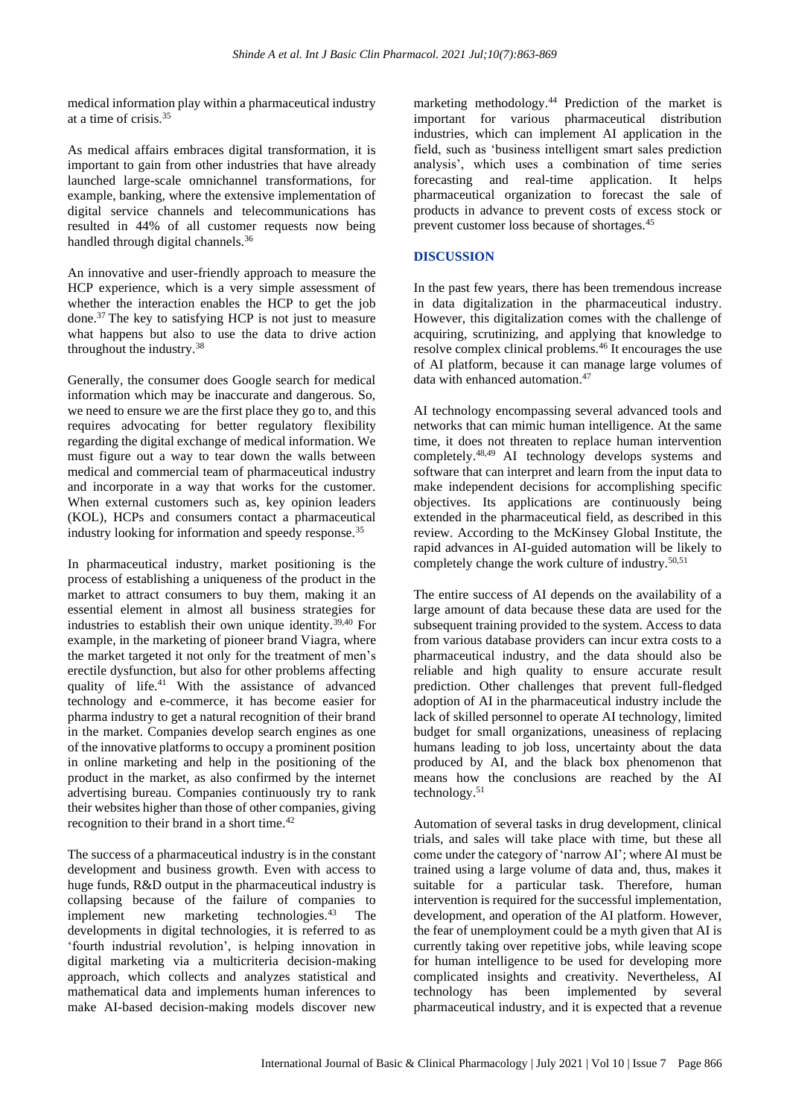medical information play within a pharmaceutical industry at a time of crisis.<sup>35</sup>

As medical affairs embraces digital transformation, it is important to gain from other industries that have already launched large-scale omnichannel transformations, for example, banking, where the extensive implementation of digital service channels and telecommunications has resulted in 44% of all customer requests now being handled through digital channels.<sup>36</sup>

An innovative and user-friendly approach to measure the HCP experience, which is a very simple assessment of whether the interaction enables the HCP to get the job done.<sup>37</sup> The key to satisfying HCP is not just to measure what happens but also to use the data to drive action throughout the industry.<sup>38</sup>

Generally, the consumer does Google search for medical information which may be inaccurate and dangerous. So, we need to ensure we are the first place they go to, and this requires advocating for better regulatory flexibility regarding the digital exchange of medical information. We must figure out a way to tear down the walls between medical and commercial team of pharmaceutical industry and incorporate in a way that works for the customer. When external customers such as, key opinion leaders (KOL), HCPs and consumers contact a pharmaceutical industry looking for information and speedy response.<sup>35</sup>

In pharmaceutical industry, market positioning is the process of establishing a uniqueness of the product in the market to attract consumers to buy them, making it an essential element in almost all business strategies for industries to establish their own unique identity.  $39,40$  For example, in the marketing of pioneer brand Viagra, where the market targeted it not only for the treatment of men's erectile dysfunction, but also for other problems affecting quality of life.<sup>41</sup> With the assistance of advanced technology and e-commerce, it has become easier for pharma industry to get a natural recognition of their brand in the market. Companies develop search engines as one of the innovative platforms to occupy a prominent position in online marketing and help in the positioning of the product in the market, as also confirmed by the internet advertising bureau. Companies continuously try to rank their websites higher than those of other companies, giving recognition to their brand in a short time.<sup>42</sup>

The success of a pharmaceutical industry is in the constant development and business growth. Even with access to huge funds, R&D output in the pharmaceutical industry is collapsing because of the failure of companies to implement new marketing technologies. $43$  The developments in digital technologies, it is referred to as 'fourth industrial revolution', is helping innovation in digital marketing via a multicriteria decision-making approach, which collects and analyzes statistical and mathematical data and implements human inferences to make AI-based decision-making models discover new

marketing methodology.<sup>44</sup> Prediction of the market is important for various pharmaceutical distribution industries, which can implement AI application in the field, such as 'business intelligent smart sales prediction analysis', which uses a combination of time series forecasting and real-time application. It helps pharmaceutical organization to forecast the sale of products in advance to prevent costs of excess stock or prevent customer loss because of shortages.<sup>45</sup>

#### **DISCUSSION**

In the past few years, there has been tremendous increase in data digitalization in the pharmaceutical industry. However, this digitalization comes with the challenge of acquiring, scrutinizing, and applying that knowledge to resolve complex clinical problems.<sup>46</sup> It encourages the use of AI platform, because it can manage large volumes of data with enhanced automation.<sup>47</sup>

AI technology encompassing several advanced tools and networks that can mimic human intelligence. At the same time, it does not threaten to replace human intervention completely.48,49 AI technology develops systems and software that can interpret and learn from the input data to make independent decisions for accomplishing specific objectives. Its applications are continuously being extended in the pharmaceutical field, as described in this review. According to the McKinsey Global Institute, the rapid advances in AI-guided automation will be likely to completely change the work culture of industry.50,51

The entire success of AI depends on the availability of a large amount of data because these data are used for the subsequent training provided to the system. Access to data from various database providers can incur extra costs to a pharmaceutical industry, and the data should also be reliable and high quality to ensure accurate result prediction. Other challenges that prevent full-fledged adoption of AI in the pharmaceutical industry include the lack of skilled personnel to operate AI technology, limited budget for small organizations, uneasiness of replacing humans leading to job loss, uncertainty about the data produced by AI, and the black box phenomenon that means how the conclusions are reached by the AI technology.<sup>51</sup>

Automation of several tasks in drug development, clinical trials, and sales will take place with time, but these all come under the category of 'narrow AI'; where AI must be trained using a large volume of data and, thus, makes it suitable for a particular task. Therefore, human intervention is required for the successful implementation, development, and operation of the AI platform. However, the fear of unemployment could be a myth given that AI is currently taking over repetitive jobs, while leaving scope for human intelligence to be used for developing more complicated insights and creativity. Nevertheless, AI technology has been implemented by several pharmaceutical industry, and it is expected that a revenue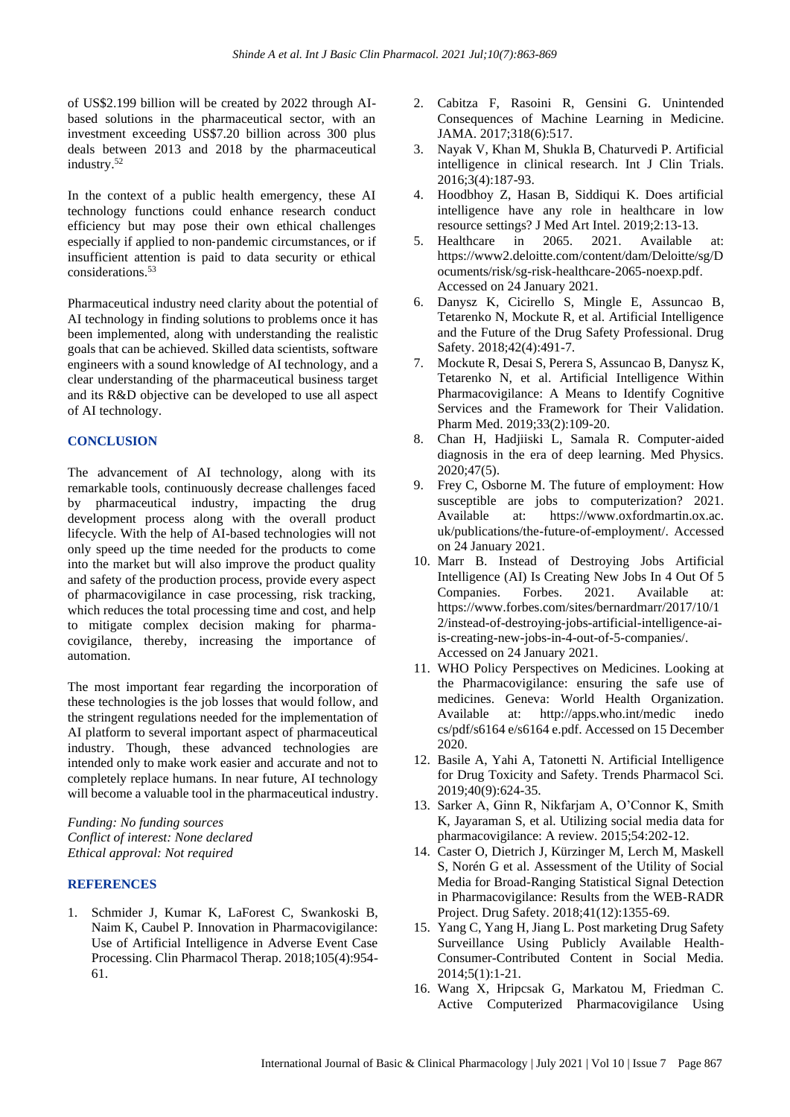of US\$2.199 billion will be created by 2022 through AIbased solutions in the pharmaceutical sector, with an investment exceeding US\$7.20 billion across 300 plus deals between 2013 and 2018 by the pharmaceutical industry.<sup>52</sup>

In the context of a public health emergency, these AI technology functions could enhance research conduct efficiency but may pose their own ethical challenges especially if applied to non‐pandemic circumstances, or if insufficient attention is paid to data security or ethical considerations.<sup>53</sup>

Pharmaceutical industry need clarity about the potential of AI technology in finding solutions to problems once it has been implemented, along with understanding the realistic goals that can be achieved. Skilled data scientists, software engineers with a sound knowledge of AI technology, and a clear understanding of the pharmaceutical business target and its R&D objective can be developed to use all aspect of AI technology.

## **CONCLUSION**

The advancement of AI technology, along with its remarkable tools, continuously decrease challenges faced by pharmaceutical industry, impacting the drug development process along with the overall product lifecycle. With the help of AI-based technologies will not only speed up the time needed for the products to come into the market but will also improve the product quality and safety of the production process, provide every aspect of pharmacovigilance in case processing, risk tracking, which reduces the total processing time and cost, and help to mitigate complex decision making for pharmacovigilance, thereby, increasing the importance of automation.

The most important fear regarding the incorporation of these technologies is the job losses that would follow, and the stringent regulations needed for the implementation of AI platform to several important aspect of pharmaceutical industry. Though, these advanced technologies are intended only to make work easier and accurate and not to completely replace humans. In near future, AI technology will become a valuable tool in the pharmaceutical industry.

*Funding: No funding sources Conflict of interest: None declared Ethical approval: Not required*

#### **REFERENCES**

1. Schmider J, Kumar K, LaForest C, Swankoski B, Naim K, Caubel P. Innovation in Pharmacovigilance: Use of Artificial Intelligence in Adverse Event Case Processing. Clin Pharmacol Therap. 2018;105(4):954- 61.

- 2. Cabitza F, Rasoini R, Gensini G. Unintended Consequences of Machine Learning in Medicine. JAMA. 2017;318(6):517.
- 3. Nayak V, Khan M, Shukla B, Chaturvedi P. Artificial intelligence in clinical research. Int J Clin Trials. 2016;3(4):187-93.
- 4. Hoodbhoy Z, Hasan B, Siddiqui K. Does artificial intelligence have any role in healthcare in low resource settings? J Med Art Intel. 2019;2:13-13.
- 5. Healthcare in 2065. 2021. Available at: https://www2.deloitte.com/content/dam/Deloitte/sg/D ocuments/risk/sg-risk-healthcare-2065-noexp.pdf. Accessed on 24 January 2021.
- 6. Danysz K, Cicirello S, Mingle E, Assuncao B, Tetarenko N, Mockute R, et al. Artificial Intelligence and the Future of the Drug Safety Professional. Drug Safety. 2018;42(4):491-7.
- 7. Mockute R, Desai S, Perera S, Assuncao B, Danysz K, Tetarenko N, et al. Artificial Intelligence Within Pharmacovigilance: A Means to Identify Cognitive Services and the Framework for Their Validation. Pharm Med. 2019;33(2):109-20.
- 8. Chan H, Hadjiiski L, Samala R. Computer‐aided diagnosis in the era of deep learning. Med Physics. 2020;47(5).
- 9. Frey C, Osborne M. The future of employment: How susceptible are jobs to computerization? 2021. Available at: https://www.oxfordmartin.ox.ac. uk/publications/the-future-of-employment/. Accessed on 24 January 2021.
- 10. Marr B. Instead of Destroying Jobs Artificial Intelligence (AI) Is Creating New Jobs In 4 Out Of 5 Companies. Forbes. 2021. Available at: https://www.forbes.com/sites/bernardmarr/2017/10/1 2/instead-of-destroying-jobs-artificial-intelligence-aiis-creating-new-jobs-in-4-out-of-5-companies/. Accessed on 24 January 2021.
- 11. WHO Policy Perspectives on Medicines. Looking at the Pharmacovigilance: ensuring the safe use of medicines. Geneva: World Health Organization. Available at: http://apps.who.int/medic inedo cs/pdf/s6164 e/s6164 e.pdf. Accessed on 15 December 2020.
- 12. Basile A, Yahi A, Tatonetti N. Artificial Intelligence for Drug Toxicity and Safety. Trends Pharmacol Sci. 2019;40(9):624-35.
- 13. Sarker A, Ginn R, Nikfarjam A, O'Connor K, Smith K, Jayaraman S, et al. Utilizing social media data for pharmacovigilance: A review. 2015;54:202-12.
- 14. Caster O, Dietrich J, Kürzinger M, Lerch M, Maskell S, Norén G et al. Assessment of the Utility of Social Media for Broad-Ranging Statistical Signal Detection in Pharmacovigilance: Results from the WEB-RADR Project. Drug Safety. 2018;41(12):1355-69.
- 15. Yang C, Yang H, Jiang L. Post marketing Drug Safety Surveillance Using Publicly Available Health-Consumer-Contributed Content in Social Media. 2014;5(1):1-21.
- 16. Wang X, Hripcsak G, Markatou M, Friedman C. Active Computerized Pharmacovigilance Using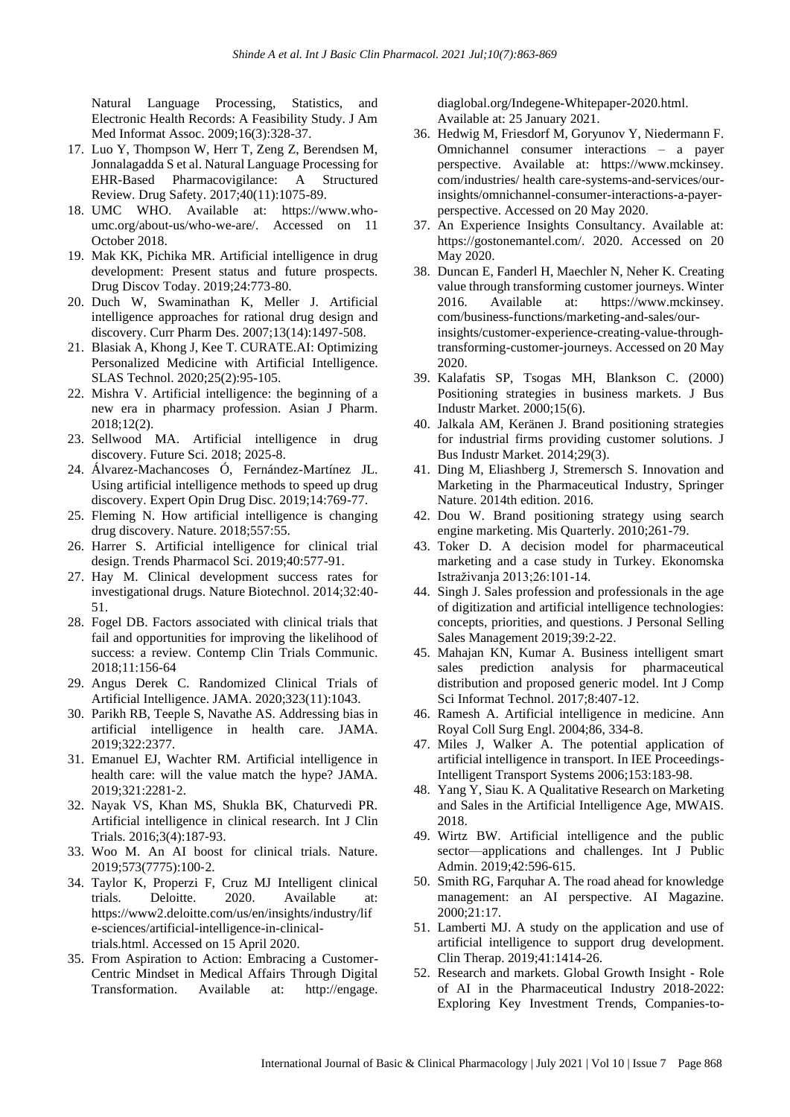Natural Language Processing, Statistics, and Electronic Health Records: A Feasibility Study. J Am Med Informat Assoc. 2009;16(3):328-37.

- 17. Luo Y, Thompson W, Herr T, Zeng Z, Berendsen M, Jonnalagadda S et al. Natural Language Processing for EHR-Based Pharmacovigilance: A Structured Review. Drug Safety. 2017;40(11):1075-89.
- 18. UMC WHO. Available at: https://www.whoumc.org/about-us/who-we-are/. Accessed on 11 October 2018.
- 19. Mak KK, Pichika MR. Artificial intelligence in drug development: Present status and future prospects. Drug Discov Today. 2019;24:773-80.
- 20. Duch W, Swaminathan K, Meller J. Artificial intelligence approaches for rational drug design and discovery. Curr Pharm Des. 2007;13(14):1497-508.
- 21. Blasiak A, Khong J, Kee T. CURATE.AI: Optimizing Personalized Medicine with Artificial Intelligence. SLAS Technol. 2020;25(2):95-105.
- 22. Mishra V. Artificial intelligence: the beginning of a new era in pharmacy profession. Asian J Pharm. 2018;12(2).
- 23. Sellwood MA. Artificial intelligence in drug discovery. Future Sci. 2018; 2025-8.
- 24. Álvarez-Machancoses Ó, Fernández-Martínez JL. Using artificial intelligence methods to speed up drug discovery. Expert Opin Drug Disc. 2019;14:769-77.
- 25. Fleming N. How artificial intelligence is changing drug discovery. Nature. 2018;557:55.
- 26. Harrer S. Artificial intelligence for clinical trial design. Trends Pharmacol Sci. 2019;40:577-91.
- 27. Hay M. Clinical development success rates for investigational drugs. Nature Biotechnol. 2014;32:40- 51.
- 28. Fogel DB. Factors associated with clinical trials that fail and opportunities for improving the likelihood of success: a review. Contemp Clin Trials Communic. 2018;11:156-64
- 29. Angus Derek C. Randomized Clinical Trials of Artificial Intelligence. JAMA. 2020;323(11):1043.
- 30. Parikh RB, Teeple S, Navathe AS. Addressing bias in artificial intelligence in health care. JAMA. 2019;322:2377.
- 31. Emanuel EJ, Wachter RM. Artificial intelligence in health care: will the value match the hype? JAMA. 2019;321:2281‐2.
- 32. Nayak VS, Khan MS, Shukla BK, Chaturvedi PR. Artificial intelligence in clinical research. Int J Clin Trials. 2016;3(4):187‐93.
- 33. Woo M. An AI boost for clinical trials. Nature. 2019;573(7775):100‐2.
- 34. Taylor K, Properzi F, Cruz MJ Intelligent clinical trials. Deloitte. 2020. Available at: https://www2.deloitte.com/us/en/insights/industry/lif e-sciences/artificial-intelligence-in-clinicaltrials.html. Accessed on 15 April 2020.
- 35. From Aspiration to Action: Embracing a Customer-Centric Mindset in Medical Affairs Through Digital Transformation. Available at: http://engage.

diaglobal.org/Indegene-Whitepaper-2020.html. Available at: 25 January 2021.

- 36. Hedwig M, Friesdorf M, Goryunov Y, Niedermann F. Omnichannel consumer interactions – a payer perspective. Available at: https://www.mckinsey. com/industries/ health care-systems-and-services/ourinsights/omnichannel-consumer-interactions-a-payerperspective. Accessed on 20 May 2020.
- 37. An Experience Insights Consultancy. Available at: https://gostonemantel.com/. 2020. Accessed on 20 May 2020.
- 38. Duncan E, Fanderl H, Maechler N, Neher K. Creating value through transforming customer journeys. Winter 2016. Available at: https://www.mckinsey. com/business-functions/marketing-and-sales/ourinsights/customer-experience-creating-value-throughtransforming-customer-journeys. Accessed on 20 May 2020.
- 39. Kalafatis SP, Tsogas MH, Blankson C. (2000) Positioning strategies in business markets. J Bus Industr Market. 2000;15(6).
- 40. Jalkala AM, Keränen J. Brand positioning strategies for industrial firms providing customer solutions. J Bus Industr Market. 2014;29(3).
- 41. Ding M, Eliashberg J, Stremersch S. Innovation and Marketing in the Pharmaceutical Industry, Springer Nature. 2014th edition. 2016.
- 42. Dou W. Brand positioning strategy using search engine marketing. Mis Quarterly. 2010;261-79.
- 43. Toker D. A decision model for pharmaceutical marketing and a case study in Turkey. Ekonomska Istraživanja 2013;26:101-14.
- 44. Singh J. Sales profession and professionals in the age of digitization and artificial intelligence technologies: concepts, priorities, and questions. J Personal Selling Sales Management 2019;39:2-22.
- 45. Mahajan KN, Kumar A. Business intelligent smart sales prediction analysis for pharmaceutical distribution and proposed generic model. Int J Comp Sci Informat Technol. 2017;8:407-12.
- 46. Ramesh A. Artificial intelligence in medicine. Ann Royal Coll Surg Engl. 2004;86, 334-8.
- 47. Miles J, Walker A. The potential application of artificial intelligence in transport. In IEE Proceedings-Intelligent Transport Systems 2006;153:183-98.
- 48. Yang Y, Siau K. A Qualitative Research on Marketing and Sales in the Artificial Intelligence Age, MWAIS. 2018.
- 49. Wirtz BW. Artificial intelligence and the public sector—applications and challenges. Int J Public Admin. 2019;42:596-615.
- 50. Smith RG, Farquhar A. The road ahead for knowledge management: an AI perspective. AI Magazine. 2000;21:17.
- 51. Lamberti MJ. A study on the application and use of artificial intelligence to support drug development. Clin Therap. 2019;41:1414-26.
- 52. Research and markets. Global Growth Insight Role of AI in the Pharmaceutical Industry 2018-2022: Exploring Key Investment Trends, Companies-to-